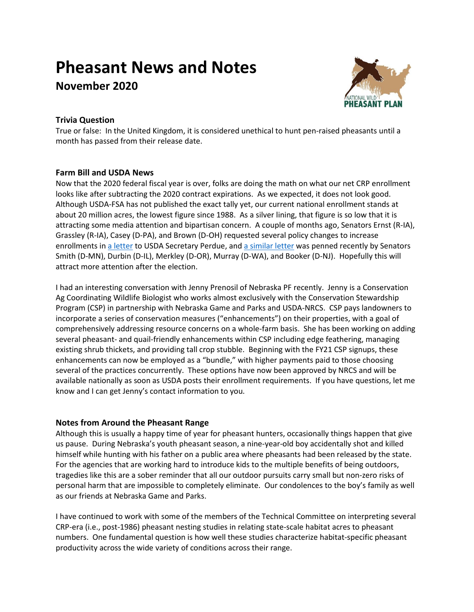# **Pheasant News and Notes**

**November 2020**



# **Trivia Question**

True or false: In the United Kingdom, it is considered unethical to hunt pen-raised pheasants until a month has passed from their release date.

# **Farm Bill and USDA News**

Now that the 2020 federal fiscal year is over, folks are doing the math on what our net CRP enrollment looks like after subtracting the 2020 contract expirations. As we expected, it does not look good. Although USDA-FSA has not published the exact tally yet, our current national enrollment stands at about 20 million acres, the lowest figure since 1988. As a silver lining, that figure is so low that it is attracting some media attention and bipartisan concern. A couple of months ago, Senators Ernst (R-IA), Grassley (R-IA), Casey (D-PA), and Brown (D-OH) requested several policy changes to increase enrollments in [a letter](https://www.ernst.senate.gov/public/_cache/files/5fb7fae9-99a7-460d-9ea4-676bced42a0f/E50CB19E5A2D3E747F09FDE3150FD5A0.8.27.20-crp-water-quality-letter-signature-and-letterhead.pdf) to USDA Secretary Perdue, and [a similar letter](https://www.smith.senate.gov/us-senator-tina-smith-presses-usda-increase-incentive-payments-farmers-stop-decline-conservation) was penned recently by Senators Smith (D-MN), Durbin (D-IL), Merkley (D-OR), Murray (D-WA), and Booker (D-NJ). Hopefully this will attract more attention after the election.

I had an interesting conversation with Jenny Prenosil of Nebraska PF recently. Jenny is a Conservation Ag Coordinating Wildlife Biologist who works almost exclusively with the Conservation Stewardship Program (CSP) in partnership with Nebraska Game and Parks and USDA-NRCS. CSP pays landowners to incorporate a series of conservation measures ("enhancements") on their properties, with a goal of comprehensively addressing resource concerns on a whole-farm basis. She has been working on adding several pheasant- and quail-friendly enhancements within CSP including edge feathering, managing existing shrub thickets, and providing tall crop stubble. Beginning with the FY21 CSP signups, these enhancements can now be employed as a "bundle," with higher payments paid to those choosing several of the practices concurrently. These options have now been approved by NRCS and will be available nationally as soon as USDA posts their enrollment requirements. If you have questions, let me know and I can get Jenny's contact information to you.

## **Notes from Around the Pheasant Range**

Although this is usually a happy time of year for pheasant hunters, occasionally things happen that give us pause. During Nebraska's youth pheasant season, a nine-year-old boy accidentally shot and killed himself while hunting with his father on a public area where pheasants had been released by the state. For the agencies that are working hard to introduce kids to the multiple benefits of being outdoors, tragedies like this are a sober reminder that all our outdoor pursuits carry small but non-zero risks of personal harm that are impossible to completely eliminate. Our condolences to the boy's family as well as our friends at Nebraska Game and Parks.

I have continued to work with some of the members of the Technical Committee on interpreting several CRP-era (i.e., post-1986) pheasant nesting studies in relating state-scale habitat acres to pheasant numbers. One fundamental question is how well these studies characterize habitat-specific pheasant productivity across the wide variety of conditions across their range.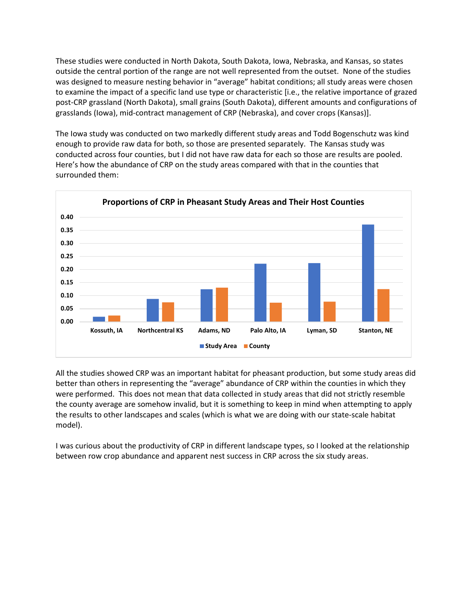These studies were conducted in North Dakota, South Dakota, Iowa, Nebraska, and Kansas, so states outside the central portion of the range are not well represented from the outset. None of the studies was designed to measure nesting behavior in "average" habitat conditions; all study areas were chosen to examine the impact of a specific land use type or characteristic [i.e., the relative importance of grazed post-CRP grassland (North Dakota), small grains (South Dakota), different amounts and configurations of grasslands (Iowa), mid-contract management of CRP (Nebraska), and cover crops (Kansas)].

The Iowa study was conducted on two markedly different study areas and Todd Bogenschutz was kind enough to provide raw data for both, so those are presented separately. The Kansas study was conducted across four counties, but I did not have raw data for each so those are results are pooled. Here's how the abundance of CRP on the study areas compared with that in the counties that surrounded them:



All the studies showed CRP was an important habitat for pheasant production, but some study areas did better than others in representing the "average" abundance of CRP within the counties in which they were performed. This does not mean that data collected in study areas that did not strictly resemble the county average are somehow invalid, but it is something to keep in mind when attempting to apply the results to other landscapes and scales (which is what we are doing with our state-scale habitat model).

I was curious about the productivity of CRP in different landscape types, so I looked at the relationship between row crop abundance and apparent nest success in CRP across the six study areas.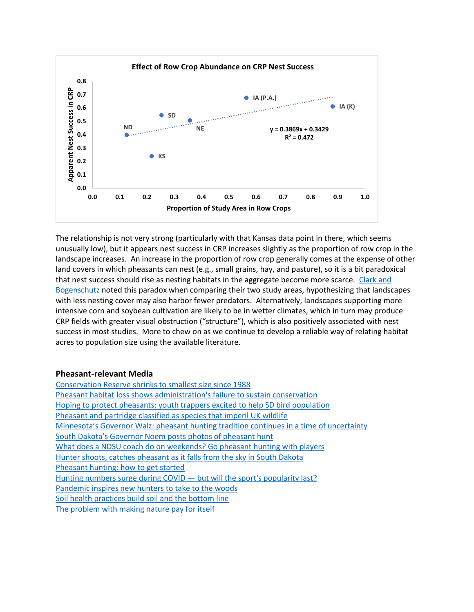

The relationship is not very strong (particularly with that Kansas data point in there, which seems unusually low), but it appears nest success in CRP increases slightly as the proportion of row crop in the landscape increases. An increase in the proportion of row crop generally comes at the expense of other land covers in which pheasants can nest (e.g., small grains, hay, and pasture), so it is a bit paradoxical that nest success should rise as nesting habitats in the aggregate become more scarce. Clark and [Bogenschutz](https://sora.unm.edu/sites/default/files/journals/jfo/v070n03/p0380-p0392.pdf) noted this paradox when comparing their two study areas, hypothesizing that landscapes with less nesting cover may also harbor fewer predators. Alternatively, landscapes supporting more intensive corn and soybean cultivation are likely to be in wetter climates, which in turn may produce CRP fields with greater visual obstruction ("structure"), which is also positively associated with nest success in most studies. More to chew on as we continue to develop a reliable way of relating habitat acres to population size using the available literature.

#### **Pheasant-relevant Media**

[Conservation Reserve shrinks to smallest size since 1988](https://www.agriculture.com/news/business/conservation-reserve-shrinks-to-smallest-size-since-1988) [Pheasant habitat loss shows administration's failure to sustain conservation](https://omaha.com/opinion/columnists/midlands-voices-pheasant-habitat-loss-shows-administrations-failure-to-sustain-conservation/article_ded54c0b-b648-582f-a140-c9f31676ddec.html) [Hoping to protect pheasants: youth trappers excited to help SD bird population](https://www.mitchellrepublic.com/news/science-and-nature/6720431-Hoping-to-protect-pheasants-Youth-trappers-excited-to-help-SD-bird-population) [Pheasant and partridge classified as species that imperil UK wildlife](https://www.theguardian.com/uk-news/2020/oct/30/pheasant-and-partridge-classified-as-species-that-imperil-uk-wildlife) [Minnesota's Governor Walz: pheasant hunting tradition continues in a time of uncertainty](https://www.grandforksherald.com/opinion/columns/6720882-Gov.-Tim-Walz-Pheasant-hunting-tradition-continues-in-a-time-of-uncertainty) South Dakota['s Governor Noem posts photos of pheasant hunt](https://www.capjournal.com/news/on-the-hunt-noem-posts-photos-of-pheasant-shoot/article_9af22c88-1093-11eb-a77c-cb20a3c5d597.html) [What does a NDSU coach do on weekends? Go pheasant hunting with players](https://www.inforum.com/bison-media-zone/mens-sports/football/6733583-What-does-a-Bison-football-coach-do-on-weekends-Go-pheasant-hunting-with-players) [Hunter shoots, catches pheasant as it falls from the sky in South Dakota](https://www.argusleader.com/story/news/2020/10/27/south-dakota-pheasant-hunter-shoots-catches-bird/6047472002/) [Pheasant hunting: how to get started](https://gearjunkie.com/how-to-pheasant-hunting) [Hunting numbers surge during COVID](https://thehill.com/opinion/energy-environment/523207-hunting-numbers-surge-during-covid-but-will-the-sports-popularity) — but will the sport's popularity last? [Pandemic inspires new hunters to take to the woods](https://www.sentinelsource.com/news/local/pandemic-inspires-new-hunters-to-take-to-the-woods/article_e55e955b-694b-5c1f-aea5-a33de4438a88.html) [Soil health practices build soil and the bottom line](https://www.tsln.com/news/soil-health-practices-build-soil-and-the-bottom-line/) [The problem with making nature pay for itself](https://www.anthropocenemagazine.org/2019/06/the-problem-with-making-nature-pay-for-itself/)